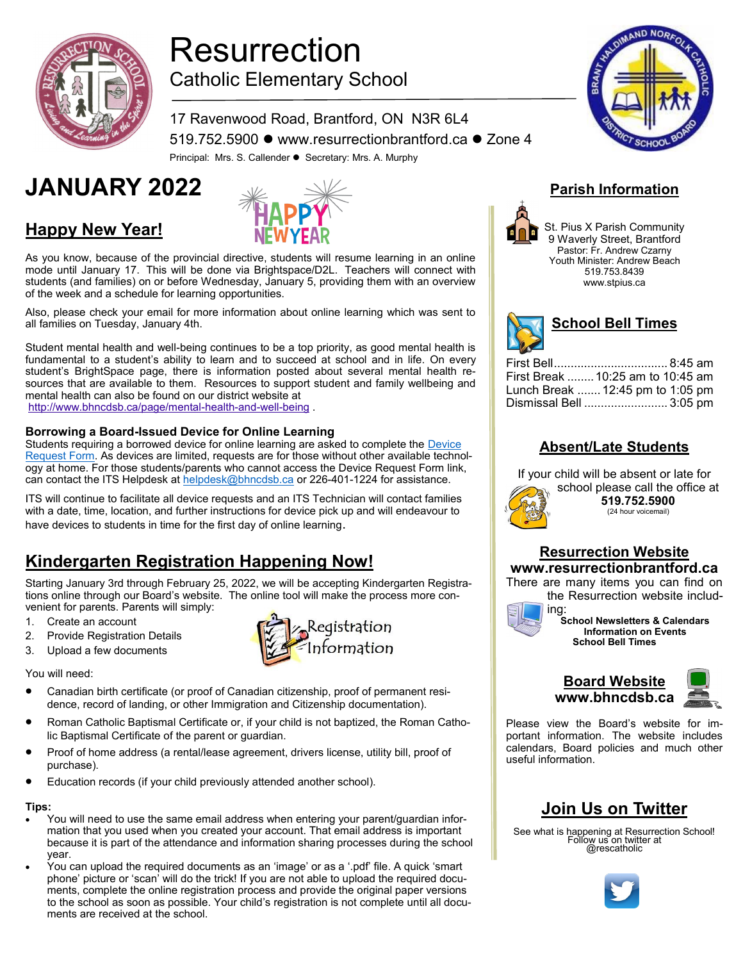

**Happy New Year!**

# Resurrection Catholic Elementary School

17 Ravenwood Road, Brantford, ON N3R 6L4 519.752.5900 ⚫ www.resurrectionbrantford.ca ⚫ Zone 4 Principal: Mrs. S. Callender ⚫ Secretary: Mrs. A. Murphy

# **JANUARY 2022** *Parish Information*



As you know, because of the provincial directive, students will resume learning in an online mode until January 17.  This will be done via Brightspace/D2L.  Teachers will connect with students (and families) on or before Wednesday, January 5, providing them with an overview of the week and a schedule for learning opportunities.

Also, please check your email for more information about online learning which was sent to all families on Tuesday, January 4th.

Student mental health and well-being continues to be a top priority, as good mental health is fundamental to a student's ability to learn and to succeed at school and in life. On every student's BrightSpace page, there is information posted about several mental health resources that are available to them. Resources to support student and family wellbeing and mental health can also be found on our district website at

[http://www.bhncdsb.ca/page/mental](https://urldefense.com/v3/__http:/track.spe.schoolmessenger.com/f/a/iRV7JQ2uY4PN6awEDyQ7bA**A/AAAAAQA*/RgRjtNNRP0Q3aHR0cDovL3d3dy5iaG5jZHNiLmNhL3BhZ2UvbWVudGFsLWhlYWx0aC1hbmQtd2VsbC1iZWluZ1cHc2Nob29sbUIKYbvRn9NhNyqaeVIVc2NhbGxlbmRlckBiaG5jZHNiLmNhWAQAAAAC__;f)-health-and-well-being .

#### **Borrowing a Board-Issued Device for Online Learning**

Students requiring a borrowed device for online learning are asked to complete the [Device](https://forms.office.com/pages/responsepage.aspx?id=zoLALAABOUSz8_fvc6Mws-koW_LVOvNBtH9JIBpG2bdUNjM0OE1JOTlLTlc3UFVNS1Y1TzhMRlkxOS4u)  [Request Form.](https://forms.office.com/pages/responsepage.aspx?id=zoLALAABOUSz8_fvc6Mws-koW_LVOvNBtH9JIBpG2bdUNjM0OE1JOTlLTlc3UFVNS1Y1TzhMRlkxOS4u) As devices are limited, requests are for those without other available technology at home. For those students/parents who cannot access the Device Request Form link, can contact the ITS Helpdesk at [helpdesk@bhncdsb.ca](mailto:helpdesk@bhncdsb.ca) or 226-401-1224 for assistance.

ITS will continue to facilitate all device requests and an ITS Technician will contact families with a date, time, location, and further instructions for device pick up and will endeavour to have devices to students in time for the first day of online learning.

# **Kindergarten Registration Happening Now!**

Starting January 3rd through February 25, 2022, we will be accepting Kindergarten Registrations online through our Board's website. The online tool will make the process more convenient for parents. Parents will simply:

- 1. Create an account
- 2. Provide Registration Details
- 3. Upload a few documents

You will need:

- Canadian birth certificate (or proof of Canadian citizenship, proof of permanent residence, record of landing, or other Immigration and Citizenship documentation).
- Roman Catholic Baptismal Certificate or, if your child is not baptized, the Roman Catholic Baptismal Certificate of the parent or guardian.
- Proof of home address (a rental/lease agreement, drivers license, utility bill, proof of purchase).
- Education records (if your child previously attended another school).

#### **Tips:**

- You will need to use the same email address when entering your parent/guardian information that you used when you created your account. That email address is important because it is part of the attendance and information sharing processes during the school year.
- You can upload the required documents as an 'image' or as a '.pdf' file. A quick 'smart phone' picture or 'scan' will do the trick! If you are not able to upload the required documents, complete the online registration process and provide the original paper versions to the school as soon as possible. Your child's registration is not complete until all documents are received at the school.





St. Pius X Parish Community 9 Waverly Street, Brantford Pastor: Fr. Andrew Czarny Youth Minister: Andrew Beach 519.753.8439 www.stpius.ca



| First Break  10:25 am to 10:45 am |
|-----------------------------------|
| Lunch Break  12:45 pm to 1:05 pm  |
| Dismissal Bell  3:05 pm           |
|                                   |

#### **Absent/Late Students**

If your child will be absent or late for



school please call the office at **519.752.5900** (24 hour voicemail)

#### **Resurrection Website www.resurrectionbrantford.ca**

There are many items you can find on the Resurrection website includ-



ing: **School Newsletters & Calendars Information on Events School Bell Times**



Please view the Board's website for important information. The website includes calendars, Board policies and much other useful information.

## **Join Us on Twitter**

See what is happening at Resurrection School! Follow us on twitter at @rescatholic



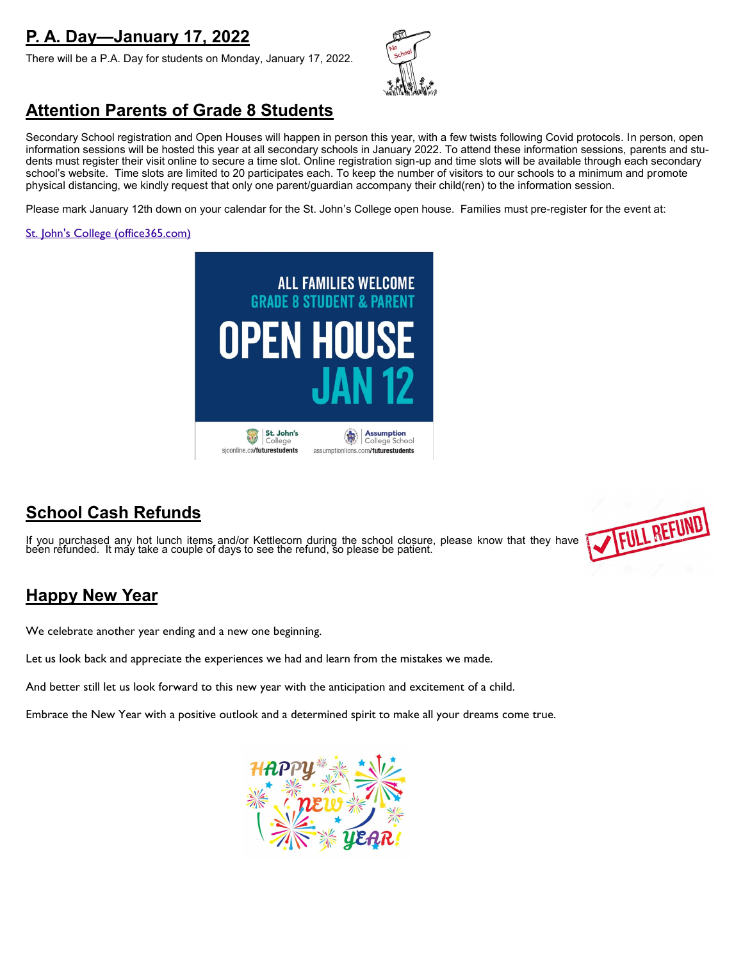# **P. A. Day—January 17, 2022**

There will be a P.A. Day for students on Monday, January 17, 2022.



## **Attention Parents of Grade 8 Students**

Secondary School registration and Open Houses will happen in person this year, with a few twists following Covid protocols. In person, open information sessions will be hosted this year at all secondary schools in January 2022. To attend these information sessions, parents and students must register their visit online to secure a time slot. Online registration sign-up and time slots will be available through each secondary school's website. Time slots are limited to 20 participates each. To keep the number of visitors to our schools to a minimum and promote physical distancing, we kindly request that only one parent/guardian accompany their child(ren) to the information session.

Please mark January 12th down on your calendar for the St. John's College open house. Families must pre-register for the event at:

#### [St. John's College \(office365.com\)](https://outlook.office365.com/owa/calendar/StJohnsCollege@bhncdsbca.onmicrosoft.com/bookings/)



## **School Cash Refunds**

If you purchased any hot lunch items and/or Kettlecorn during the school closure, please know that they have been refunded. It may take a couple of days to see the refund, so please be patient.



## **Happy New Year**

We celebrate another year ending and a new one beginning.

Let us look back and appreciate the experiences we had and learn from the mistakes we made.

And better still let us look forward to this new year with the anticipation and excitement of a child.

Embrace the New Year with a positive outlook and a determined spirit to make all your dreams come true.